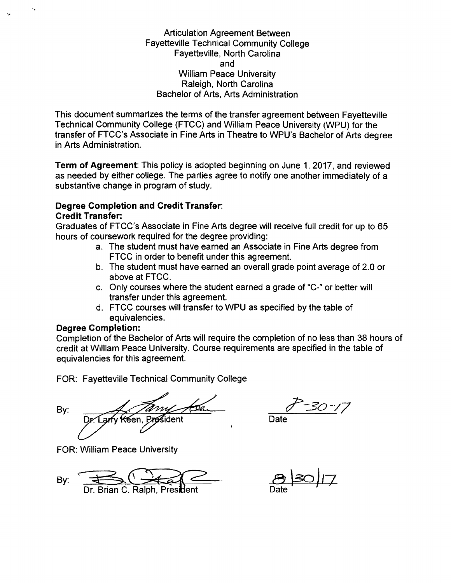Articulation Agreement Between Fayetteville Technical Community College Fayetteville, North Carolina and William Peace University Raleigh, North Carolina Bachelor of Arts, Arts Administration

This document summarizes the terms of the transfer agreement between Fayetteville Technical Community College (FTCC) and William Peace University (WPU) for the transfer of FTCC's Associate in Fine Arts in Theatre to WPU's Bachelor of Arts degree in Arts Administration.

**Term of Agreement:** This policy is adopted beginning on June 1,2017, and reviewed as needed by either college. The parties agree to notify one another immediately of a substantive change in program of study.

## **Degree Completion and Credit Transfer: Credit Transfer:**

Graduates of FTCC's Associate in Fine Arts degree will receive full credit for up to 65 hours of coursework required for the degree providing:

- a. The student must have earned an Associate in Fine Arts degree from FTCC in order to benefit under this agreement.
- b. The student must have earned an overall grade point average of 2.0 or above at FTCC.
- c. Only courses where the student earned a grade of "C-" or better will transfer under this agreement.
- d. FTCC courses will transfer to WPU as specified by the table of equivalencies.

## **Degree Completion:**

'.

Completion of the Bachelor of Arts will require the completion of no less than 38 hours of credit at William Peace University. Course requirements are specified in the table of equivalencies for this agreement.

FOR: Fayetteville Technical Community College

By: K€en.

FOR: William Peace University

 $\n By: \n **BA** 8 130/7$ Dr. Brian C. Ralph, Pres**id**ent

Date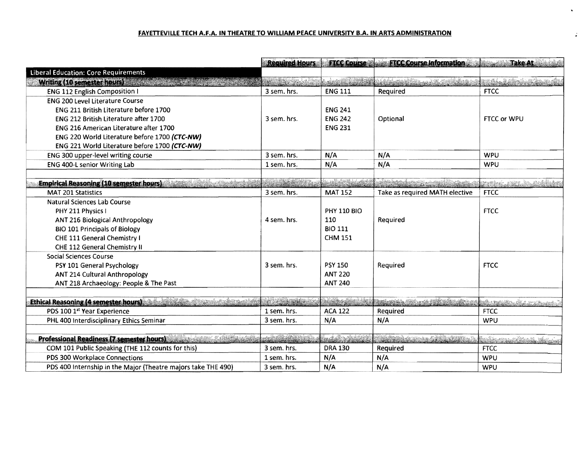## **FAVEITEVILLE TECH** A.F.A. **IN THEATRE TO WILLIAM PEACE UNIVERSITY** B.A. **IN ARTS ADMINISTRATION**

|                                                                                 | <b>Required Hours</b>     |                    | <b>FTCC Course Contract Course Information Contract Take At Course Inc.</b> |                            |
|---------------------------------------------------------------------------------|---------------------------|--------------------|-----------------------------------------------------------------------------|----------------------------|
| <b>Liberal Education: Core Requirements</b>                                     |                           |                    |                                                                             |                            |
| Writing (10 servester hours)                                                    |                           |                    |                                                                             | ng Luba                    |
| <b>ENG 112 English Composition I</b>                                            | 3 sem. hrs.               | <b>ENG 111</b>     | Required                                                                    | <b>FTCC</b>                |
| <b>ENG 200 Level Literature Course</b>                                          |                           |                    |                                                                             |                            |
| ENG 211 British Literature before 1700                                          |                           | <b>ENG 241</b>     |                                                                             |                            |
| ENG 212 British Literature after 1700                                           | 3 sem. hrs.               | <b>ENG 242</b>     | Optional                                                                    | FTCC or WPU                |
| ENG 216 American Literature after 1700                                          |                           | <b>ENG 231</b>     |                                                                             |                            |
| ENG 220 World Literature before 1700 (CTC-NW)                                   |                           |                    |                                                                             |                            |
| ENG 221 World Literature before 1700 (CTC-NW)                                   |                           |                    |                                                                             |                            |
| ENG 300 upper-level writing course                                              | 3 sem. hrs.               | N/A                | N/A                                                                         | <b>WPU</b>                 |
| ENG 400-L senior Writing Lab                                                    | 1 sem. hrs.               | N/A                | N/A                                                                         | <b>WPU</b>                 |
|                                                                                 |                           |                    |                                                                             |                            |
| <b>Empirical Reasoning (10 semester hours)</b>                                  |                           |                    | di Parket sebagai dalam                                                     |                            |
| MAT 201 Statistics                                                              | 3 sem. hrs.               | <b>MAT 152</b>     | Take as required MATH elective                                              | <b>FTCC</b>                |
| Natural Sciences Lab Course                                                     |                           |                    |                                                                             |                            |
| PHY 211 Physics I                                                               |                           | <b>PHY 110 BIO</b> |                                                                             | <b>FTCC</b>                |
| ANT 216 Biological Anthropology                                                 | 4 sem. hrs.               | 110                | Required                                                                    |                            |
| <b>BIO 101 Principals of Biology</b>                                            |                           | <b>BIO 111</b>     |                                                                             |                            |
| CHE 111 General Chemistry I                                                     |                           | <b>CHM 151</b>     |                                                                             |                            |
| CHE 112 General Chemistry II                                                    |                           |                    |                                                                             |                            |
| <b>Social Sciences Course</b>                                                   |                           |                    |                                                                             |                            |
| PSY 101 General Psychology                                                      | 3 sem. hrs.               | <b>PSY 150</b>     | Required                                                                    | <b>FTCC</b>                |
| ANT 214 Cultural Anthropology                                                   |                           | <b>ANT 220</b>     |                                                                             |                            |
| ANT 218 Archaeology: People & The Past                                          |                           | <b>ANT 240</b>     |                                                                             |                            |
|                                                                                 |                           |                    |                                                                             |                            |
| <b>Ethical Reasoning (4 semester hours)</b>                                     | Nila ya Maria             | hidito alcohol     | <b>Marianistra</b>                                                          | st i belikte for de        |
| PDS 100 1st Year Experience                                                     | 1 sem. hrs.               | <b>ACA 122</b>     | Required                                                                    | <b>FTCC</b>                |
| PHL 400 Interdisciplinary Ethics Seminar                                        | 3 sem. hrs.               | N/A                | N/A                                                                         | <b>WPU</b>                 |
|                                                                                 |                           |                    |                                                                             |                            |
| Marchael Monte Constitution<br><b>Professional Readiness (7 semester hours)</b> | <u>eta di Afrika de C</u> | en de Bl           |                                                                             | <u> Karangan Manasarta</u> |
| COM 101 Public Speaking (THE 112 counts for this)                               | 3 sem. hrs.               | <b>DRA 130</b>     | Required                                                                    | <b>FTCC</b>                |
| PDS 300 Workplace Connections                                                   | 1 sem. hrs.               | N/A                | N/A                                                                         | <b>WPU</b>                 |
| PDS 400 Internship in the Major (Theatre majors take THE 490)                   | 3 sem. hrs.               | N/A                | N/A                                                                         | <b>WPU</b>                 |

 $\mathbf{v}$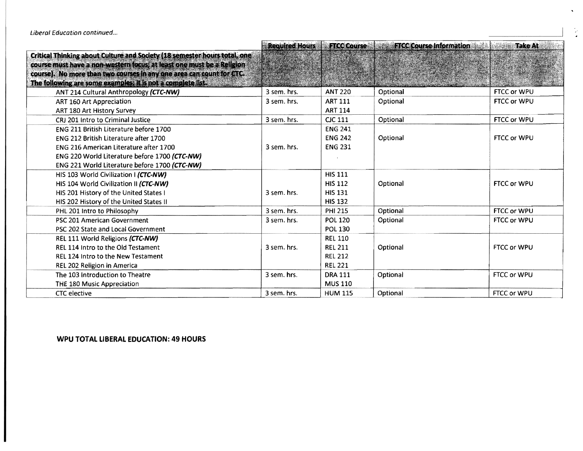|                                                                                   | <b>Required Hours</b> | <b>FTCC Course</b>              | <b>ETCC Course Information</b>        | <b>Take At</b>     |
|-----------------------------------------------------------------------------------|-----------------------|---------------------------------|---------------------------------------|--------------------|
| <b>Critical Thinking about Culture and Society (18 semester hours total, one)</b> |                       |                                 |                                       |                    |
| course must have a non-western focus; at least one must be a Religion             |                       |                                 |                                       |                    |
| course). No more than two courses in any one area can count for CTC.              |                       |                                 |                                       |                    |
| The following are some examples; it is not a complete list.                       |                       | A day of the state of the state | man was heard and marked and the same |                    |
| ANT 214 Cultural Anthropology (CTC-NW)                                            | 3 sem. hrs.           | <b>ANT 220</b>                  | Optional                              | FTCC or WPU        |
| ART 160 Art Appreciation                                                          | 3 sem. hrs.           | <b>ART 111</b>                  | Optional                              | FTCC or WPU        |
| ART 180 Art History Survey                                                        |                       | <b>ART 114</b>                  |                                       |                    |
| CRJ 201 Intro to Criminal Justice                                                 | 3 sem. hrs.           | <b>CJC 111</b>                  | Optional                              | FTCC or WPU        |
| <b>ENG 211 British Literature before 1700</b>                                     |                       | <b>ENG 241</b>                  |                                       |                    |
| ENG 212 British Literature after 1700                                             |                       | <b>ENG 242</b>                  | Optional                              | FTCC or WPU        |
| ENG 216 American Literature after 1700                                            | 3 sem. hrs.           | <b>ENG 231</b>                  |                                       |                    |
| ENG 220 World Literature before 1700 (CTC-NW)                                     |                       |                                 |                                       |                    |
| ENG 221 World Literature before 1700 (CTC-NW)                                     |                       |                                 |                                       |                    |
| HIS 103 World Civilization I (CTC-NW)                                             |                       | <b>HIS 111</b>                  |                                       |                    |
| HIS 104 World Civilization II (CTC-NW)                                            |                       | <b>HIS 112</b>                  | Optional                              | FTCC or WPU        |
| HIS 201 History of the United States I                                            | 3 sem. hrs.           | <b>HIS 131</b>                  |                                       |                    |
| HIS 202 History of the United States II                                           |                       | <b>HIS 132</b>                  |                                       |                    |
| PHL 201 Intro to Philosophy                                                       | 3 sem. hrs.           | <b>PHI 215</b>                  | Optional                              | FTCC or WPU        |
| PSC 201 American Government                                                       | 3 sem. hrs.           | <b>POL 120</b>                  | Optional                              | FTCC or WPU        |
| PSC 202 State and Local Government                                                |                       | <b>POL 130</b>                  |                                       |                    |
| REL 111 World Religions (CTC-NW)                                                  |                       | <b>REL 110</b>                  |                                       |                    |
| REL 114 Intro to the Old Testament                                                | 3 sem. hrs.           | <b>REL 211</b>                  | Optional                              | FTCC or WPU        |
| REL 124 Intro to the New Testament                                                |                       | <b>REL 212</b>                  |                                       |                    |
| REL 202 Religion in America                                                       |                       | <b>REL 221</b>                  |                                       |                    |
| The 103 Introduction to Theatre                                                   | 3 sem. hrs.           | <b>DRA 111</b>                  | Optional                              | <b>FTCC or WPU</b> |
| THE 180 Music Appreciation                                                        |                       | <b>MUS 110</b>                  |                                       |                    |
| <b>CTC</b> elective                                                               | 3 sem. hrs.           | <b>HUM 115</b>                  | Optional                              | <b>FTCC or WPU</b> |

**WPU TOTAL LIBERAL EDUCATION: 49 HOURS** 

 $\ddot{\phantom{0}}$